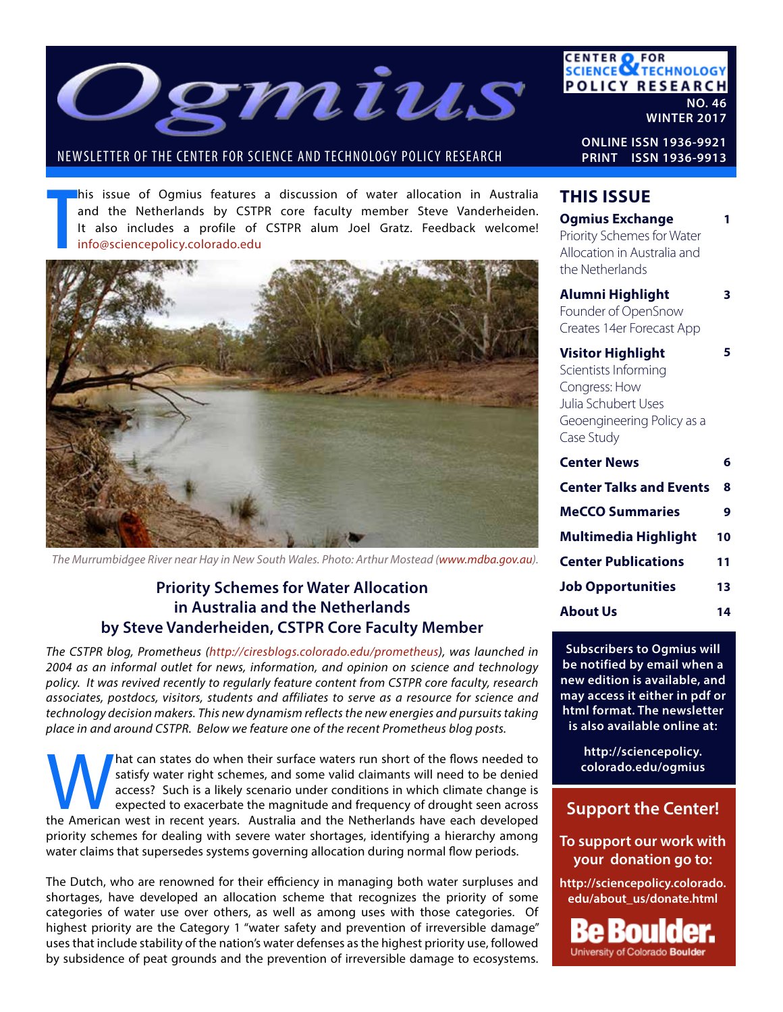

#### NEWSLETTER OF THE CENTER FOR SCIENCE AND TECHNOLOGY POLICY RESEARCH

his issue of Ogmius features a discussion of water allocation in Australia and the Netherlands by CSTPR core faculty member Steve Vanderheiden. It also includes a profile of CSTPR alum Joel Gratz. Feedback welcome! info@sciencepolicy.colorado.edu



*The Murrumbidgee River near Hay in New South Wales. Photo: Arthur Mostead (www.mdba.gov.au).*

### **Priority Schemes for Water Allocation in Australia and the Netherlands by Steve Vanderheiden, CSTPR Core Faculty Member**

*The CSTPR blog, Prometheus (http://ciresblogs.colorado.edu/prometheus), was launched in 2004 as an informal outlet for news, information, and opinion on science and technology policy. It was revived recently to regularly feature content from CSTPR core faculty, research associates, postdocs, visitors, students and affiliates to serve as a resource for science and technology decision makers. This new dynamism reflects the new energies and pursuits taking place in and around CSTPR. Below we feature one of the recent Prometheus blog posts.* 

AM and states do when their surface waters run short of the flows needed to satisfy water right schemes, and some valid claimants will need to be denied access? Such is a likely scenario under conditions in which climate c satisfy water right schemes, and some valid claimants will need to be denied access? Such is a likely scenario under conditions in which climate change is expected to exacerbate the magnitude and frequency of drought seen across priority schemes for dealing with severe water shortages, identifying a hierarchy among water claims that supersedes systems governing allocation during normal flow periods.

The Dutch, who are renowned for their efficiency in managing both water surpluses and shortages, have developed an allocation scheme that recognizes the priority of some categories of water use over others, as well as among uses with those categories. Of highest priority are the Category 1 "water safety and prevention of irreversible damage" uses that include stability of the nation's water defenses as the highest priority use, followed by subsidence of peat grounds and the prevention of irreversible damage to ecosystems.

**CENTER OF FOR<br>SCIENCE OF TECHNOLOGY POLICY RESEARCH NO. 46**

**WINTER 2017**

**ONLINE ISSN 1936-9921 PRINT ISSN 1936-9913**

### **THIS ISSUE**

| <b>Ogmius Exchange</b><br>Priority Schemes for Water<br>Allocation in Australia and<br>the Netherlands                               |    |
|--------------------------------------------------------------------------------------------------------------------------------------|----|
| Alumni Highlight<br>Founder of OpenSnow<br>Creates 14er Forecast App                                                                 | 3  |
| <b>Visitor Highlight</b><br>Scientists Informing<br>Congress: How<br>Julia Schubert Uses<br>Geoengineering Policy as a<br>Case Study | 5  |
| <b>Center News</b>                                                                                                                   | 6  |
| <b>Center Talks and Events</b>                                                                                                       | 8  |
| <b>MeCCO Summaries</b>                                                                                                               | 9  |
| Multimedia Highlight                                                                                                                 | 10 |
| <b>Center Publications</b>                                                                                                           | 11 |
| <b>Job Opportunities</b>                                                                                                             | 13 |
| <b>About Us</b>                                                                                                                      | 14 |

**Subscribers to Ogmius will be notified by email when a new edition is available, and may access it either in pdf or html format. The newsletter is also available online at:**

> **http://sciencepolicy. colorado.edu/ogmius**

### **Support the Center!**

**To support our work with your donation go to:**

**http://sciencepolicy.colorado. edu/about\_us/donate.html**

ou University of Colorado Boulder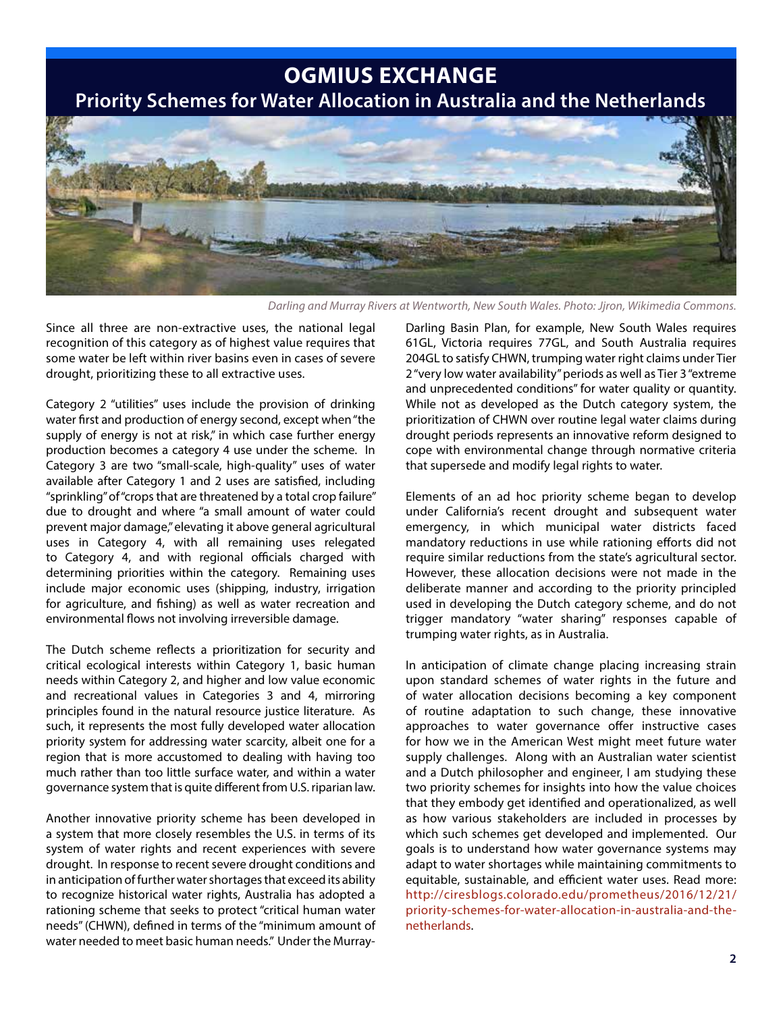**OGMIUS EXCHANGE**

**Priority Schemes for Water Allocation in Australia and the Netherlands**



*Darling and Murray Rivers at Wentworth, New South Wales. Photo: Jjron, Wikimedia Commons.*

Since all three are non-extractive uses, the national legal recognition of this category as of highest value requires that some water be left within river basins even in cases of severe drought, prioritizing these to all extractive uses.

Category 2 "utilities" uses include the provision of drinking water first and production of energy second, except when "the supply of energy is not at risk," in which case further energy production becomes a category 4 use under the scheme. In Category 3 are two "small-scale, high-quality" uses of water available after Category 1 and 2 uses are satisfied, including "sprinkling" of "crops that are threatened by a total crop failure" due to drought and where "a small amount of water could prevent major damage," elevating it above general agricultural uses in Category 4, with all remaining uses relegated to Category 4, and with regional officials charged with determining priorities within the category. Remaining uses include major economic uses (shipping, industry, irrigation for agriculture, and fishing) as well as water recreation and environmental flows not involving irreversible damage.

The Dutch scheme reflects a prioritization for security and critical ecological interests within Category 1, basic human needs within Category 2, and higher and low value economic and recreational values in Categories 3 and 4, mirroring principles found in the natural resource justice literature. As such, it represents the most fully developed water allocation priority system for addressing water scarcity, albeit one for a region that is more accustomed to dealing with having too much rather than too little surface water, and within a water governance system that is quite different from U.S. riparian law.

Another innovative priority scheme has been developed in a system that more closely resembles the U.S. in terms of its system of water rights and recent experiences with severe drought. In response to recent severe drought conditions and in anticipation of further water shortages that exceed its ability to recognize historical water rights, Australia has adopted a rationing scheme that seeks to protect "critical human water needs" (CHWN), defined in terms of the "minimum amount of water needed to meet basic human needs." Under the Murray-

Darling Basin Plan, for example, New South Wales requires 61GL, Victoria requires 77GL, and South Australia requires 204GL to satisfy CHWN, trumping water right claims under Tier 2 "very low water availability" periods as well as Tier 3 "extreme and unprecedented conditions" for water quality or quantity. While not as developed as the Dutch category system, the prioritization of CHWN over routine legal water claims during drought periods represents an innovative reform designed to cope with environmental change through normative criteria that supersede and modify legal rights to water.

Elements of an ad hoc priority scheme began to develop under California's recent drought and subsequent water emergency, in which municipal water districts faced mandatory reductions in use while rationing efforts did not require similar reductions from the state's agricultural sector. However, these allocation decisions were not made in the deliberate manner and according to the priority principled used in developing the Dutch category scheme, and do not trigger mandatory "water sharing" responses capable of trumping water rights, as in Australia.

In anticipation of climate change placing increasing strain upon standard schemes of water rights in the future and of water allocation decisions becoming a key component of routine adaptation to such change, these innovative approaches to water governance offer instructive cases for how we in the American West might meet future water supply challenges. Along with an Australian water scientist and a Dutch philosopher and engineer, I am studying these two priority schemes for insights into how the value choices that they embody get identified and operationalized, as well as how various stakeholders are included in processes by which such schemes get developed and implemented. Our goals is to understand how water governance systems may adapt to water shortages while maintaining commitments to equitable, sustainable, and efficient water uses. Read more: http://ciresblogs.colorado.edu/prometheus/2016/12/21/ priority-schemes-for-water-allocation-in-australia-and-thenetherlands.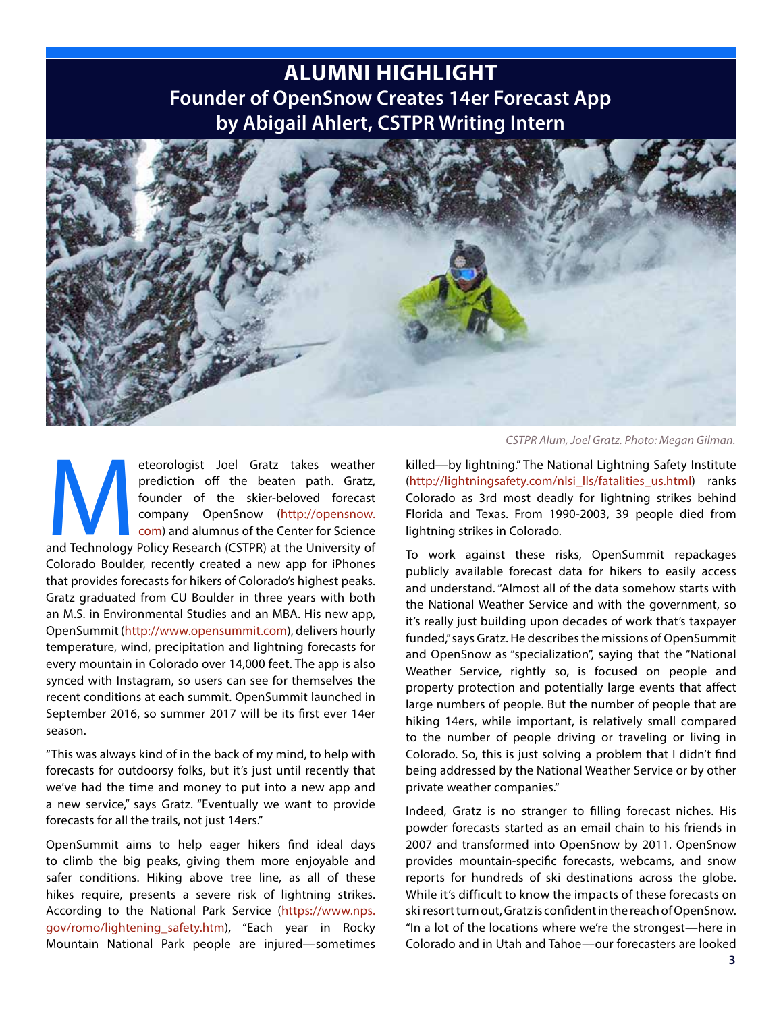### **ALUMNI HIGHLIGHT Founder of OpenSnow Creates 14er Forecast App by Abigail Ahlert, CSTPR Writing Intern**



eteorologist Joel Gratz takes weather<br>
prediction off the beaten path. Gratz,<br>
founder of the skier-beloved forecast<br>
company OpenSnow (http://opensnow.<br>
com) and alumnus of the Center for Science<br>
and Technology Policy Re prediction off the beaten path. Gratz, founder of the skier-beloved forecast company OpenSnow (http://opensnow. com) and alumnus of the Center for Science Colorado Boulder, recently created a new app for iPhones that provides forecasts for hikers of Colorado's highest peaks. Gratz graduated from CU Boulder in three years with both an M.S. in Environmental Studies and an MBA. His new app, OpenSummit (http://www.opensummit.com), delivers hourly temperature, wind, precipitation and lightning forecasts for every mountain in Colorado over 14,000 feet. The app is also synced with Instagram, so users can see for themselves the recent conditions at each summit. OpenSummit launched in September 2016, so summer 2017 will be its first ever 14er season.

"This was always kind of in the back of my mind, to help with forecasts for outdoorsy folks, but it's just until recently that we've had the time and money to put into a new app and a new service," says Gratz. "Eventually we want to provide forecasts for all the trails, not just 14ers."

OpenSummit aims to help eager hikers find ideal days to climb the big peaks, giving them more enjoyable and safer conditions. Hiking above tree line, as all of these hikes require, presents a severe risk of lightning strikes. According to the National Park Service (https://www.nps. gov/romo/lightening\_safety.htm), "Each year in Rocky Mountain National Park people are injured—sometimes

*CSTPR Alum, Joel Gratz. Photo: Megan Gilman.*

killed—by lightning." The National Lightning Safety Institute (http://lightningsafety.com/nlsi\_lls/fatalities\_us.html) ranks Colorado as 3rd most deadly for lightning strikes behind Florida and Texas. From 1990-2003, 39 people died from lightning strikes in Colorado.

To work against these risks, OpenSummit repackages publicly available forecast data for hikers to easily access and understand. "Almost all of the data somehow starts with the National Weather Service and with the government, so it's really just building upon decades of work that's taxpayer funded," says Gratz. He describes the missions of OpenSummit and OpenSnow as "specialization", saying that the "National Weather Service, rightly so, is focused on people and property protection and potentially large events that affect large numbers of people. But the number of people that are hiking 14ers, while important, is relatively small compared to the number of people driving or traveling or living in Colorado. So, this is just solving a problem that I didn't find being addressed by the National Weather Service or by other private weather companies."

Indeed, Gratz is no stranger to filling forecast niches. His powder forecasts started as an email chain to his friends in 2007 and transformed into OpenSnow by 2011. OpenSnow provides mountain-specific forecasts, webcams, and snow reports for hundreds of ski destinations across the globe. While it's difficult to know the impacts of these forecasts on ski resort turn out, Gratz is confident in the reach of OpenSnow. "In a lot of the locations where we're the strongest—here in Colorado and in Utah and Tahoe—our forecasters are looked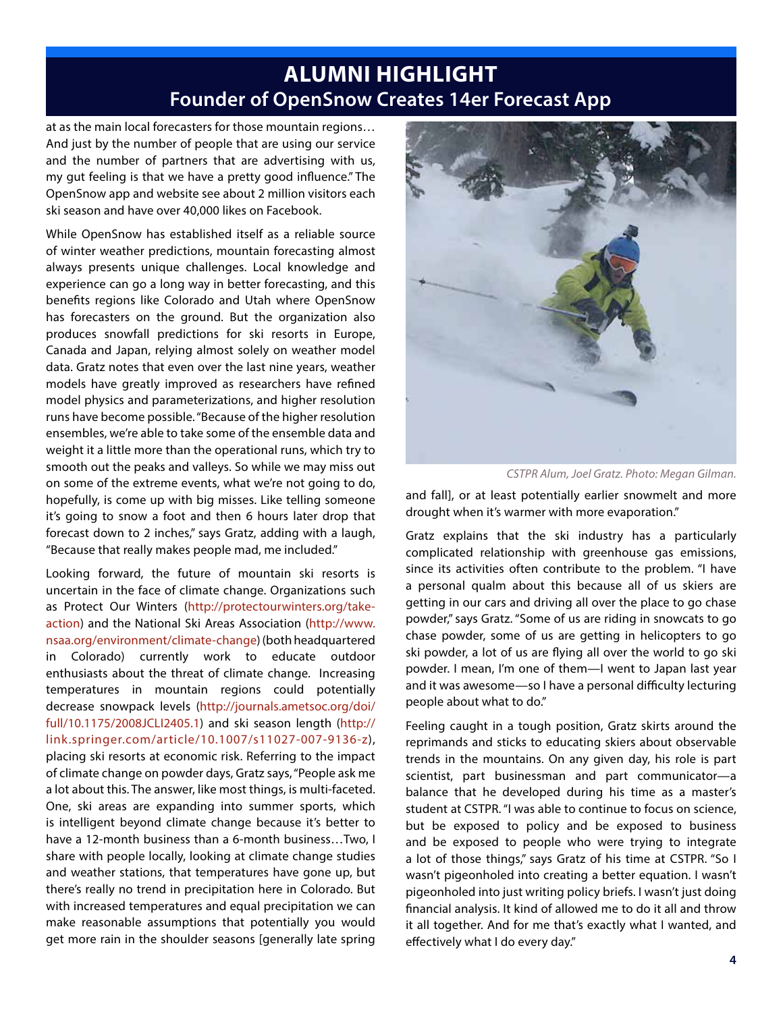### **ALUMNI HIGHLIGHT Founder of OpenSnow Creates 14er Forecast App**

at as the main local forecasters for those mountain regions… And just by the number of people that are using our service and the number of partners that are advertising with us, my gut feeling is that we have a pretty good influence." The OpenSnow app and website see about 2 million visitors each ski season and have over 40,000 likes on Facebook.

While OpenSnow has established itself as a reliable source of winter weather predictions, mountain forecasting almost always presents unique challenges. Local knowledge and experience can go a long way in better forecasting, and this benefits regions like Colorado and Utah where OpenSnow has forecasters on the ground. But the organization also produces snowfall predictions for ski resorts in Europe, Canada and Japan, relying almost solely on weather model data. Gratz notes that even over the last nine years, weather models have greatly improved as researchers have refined model physics and parameterizations, and higher resolution runs have become possible. "Because of the higher resolution ensembles, we're able to take some of the ensemble data and weight it a little more than the operational runs, which try to smooth out the peaks and valleys. So while we may miss out on some of the extreme events, what we're not going to do, hopefully, is come up with big misses. Like telling someone it's going to snow a foot and then 6 hours later drop that forecast down to 2 inches," says Gratz, adding with a laugh, "Because that really makes people mad, me included."

Looking forward, the future of mountain ski resorts is uncertain in the face of climate change. Organizations such as Protect Our Winters (http://protectourwinters.org/takeaction) and the National Ski Areas Association (http://www. nsaa.org/environment/climate-change) (both headquartered in Colorado) currently work to educate outdoor enthusiasts about the threat of climate change. Increasing temperatures in mountain regions could potentially decrease snowpack levels (http://journals.ametsoc.org/doi/ full/10.1175/2008JCLI2405.1) and ski season length (http:// link.springer.com/article/10.1007/s11027-007-9136-z), placing ski resorts at economic risk. Referring to the impact of climate change on powder days, Gratz says, "People ask me a lot about this. The answer, like most things, is multi-faceted. One, ski areas are expanding into summer sports, which is intelligent beyond climate change because it's better to have a 12-month business than a 6-month business...Two, I share with people locally, looking at climate change studies and weather stations, that temperatures have gone up, but there's really no trend in precipitation here in Colorado. But with increased temperatures and equal precipitation we can make reasonable assumptions that potentially you would get more rain in the shoulder seasons [generally late spring



*CSTPR Alum, Joel Gratz. Photo: Megan Gilman.*

and fall], or at least potentially earlier snowmelt and more drought when it's warmer with more evaporation."

Gratz explains that the ski industry has a particularly complicated relationship with greenhouse gas emissions, since its activities often contribute to the problem. "I have a personal qualm about this because all of us skiers are getting in our cars and driving all over the place to go chase powder," says Gratz. "Some of us are riding in snowcats to go chase powder, some of us are getting in helicopters to go ski powder, a lot of us are flying all over the world to go ski powder. I mean, I'm one of them—I went to Japan last year and it was awesome—so I have a personal difficulty lecturing people about what to do."

Feeling caught in a tough position, Gratz skirts around the reprimands and sticks to educating skiers about observable trends in the mountains. On any given day, his role is part scientist, part businessman and part communicator—a balance that he developed during his time as a master's student at CSTPR. "I was able to continue to focus on science, but be exposed to policy and be exposed to business and be exposed to people who were trying to integrate a lot of those things," says Gratz of his time at CSTPR. "So I wasn't pigeonholed into creating a better equation. I wasn't pigeonholed into just writing policy briefs. I wasn't just doing financial analysis. It kind of allowed me to do it all and throw it all together. And for me that's exactly what I wanted, and effectively what I do every day."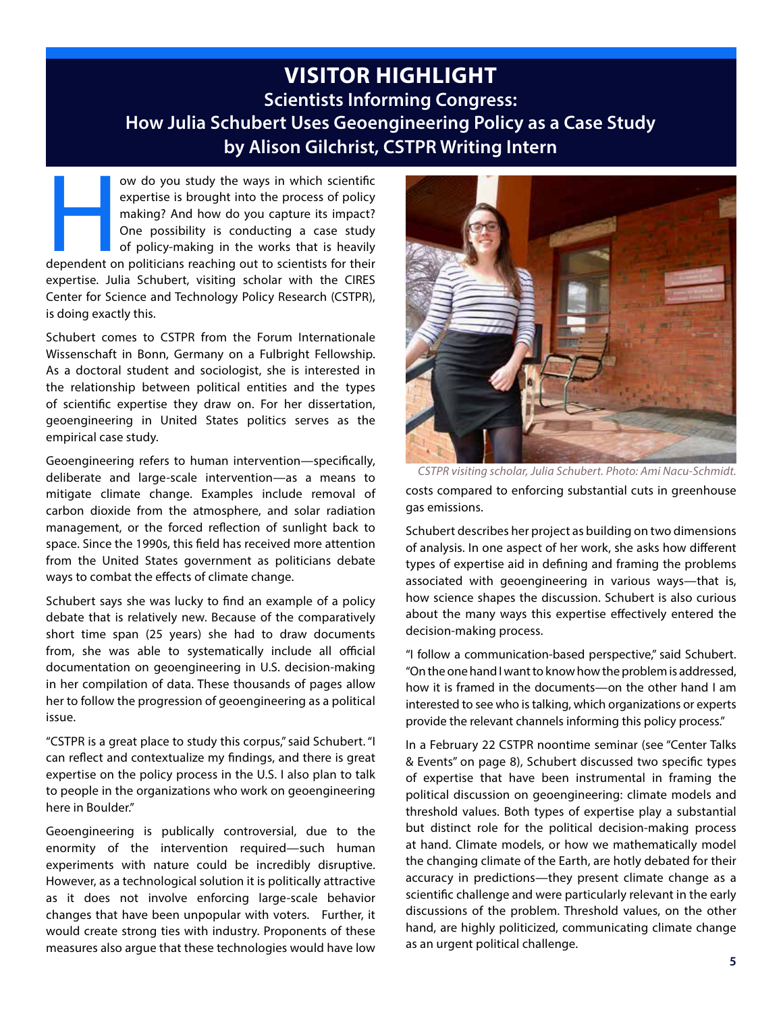### **VISITOR HIGHLIGHT Scientists Informing Congress: How Julia Schubert Uses Geoengineering Policy as a Case Study by Alison Gilchrist, CSTPR Writing Intern**

ow do you study the ways in which scientific<br>
expertise is brought into the process of policy<br>
making? And how do you capture its impact?<br>
One possibility is conducting a case study<br>
of policy-making in the works that is h expertise is brought into the process of policy making? And how do you capture its impact? One possibility is conducting a case study of policy-making in the works that is heavily expertise. Julia Schubert, visiting scholar with the CIRES Center for Science and Technology Policy Research (CSTPR), is doing exactly this.

Schubert comes to CSTPR from the Forum Internationale Wissenschaft in Bonn, Germany on a Fulbright Fellowship. As a doctoral student and sociologist, she is interested in the relationship between political entities and the types of scientific expertise they draw on. For her dissertation, geoengineering in United States politics serves as the empirical case study.

Geoengineering refers to human intervention—specifically, deliberate and large-scale intervention—as a means to mitigate climate change. Examples include removal of carbon dioxide from the atmosphere, and solar radiation management, or the forced reflection of sunlight back to space. Since the 1990s, this field has received more attention from the United States government as politicians debate ways to combat the effects of climate change.

Schubert says she was lucky to find an example of a policy debate that is relatively new. Because of the comparatively short time span (25 years) she had to draw documents from, she was able to systematically include all official documentation on geoengineering in U.S. decision-making in her compilation of data. These thousands of pages allow her to follow the progression of geoengineering as a political issue.

"CSTPR is a great place to study this corpus," said Schubert. "I can reflect and contextualize my findings, and there is great expertise on the policy process in the U.S. I also plan to talk to people in the organizations who work on geoengineering here in Boulder."

Geoengineering is publically controversial, due to the enormity of the intervention required—such human experiments with nature could be incredibly disruptive. However, as a technological solution it is politically attractive as it does not involve enforcing large-scale behavior changes that have been unpopular with voters. Further, it would create strong ties with industry. Proponents of these measures also argue that these technologies would have low



costs compared to enforcing substantial cuts in greenhouse gas emissions. *CSTPR visiting scholar, Julia Schubert. Photo: Ami Nacu-Schmidt.*

Schubert describes her project as building on two dimensions of analysis. In one aspect of her work, she asks how different types of expertise aid in defining and framing the problems associated with geoengineering in various ways—that is, how science shapes the discussion. Schubert is also curious about the many ways this expertise effectively entered the decision-making process.

"I follow a communication-based perspective," said Schubert. "On the one hand I want to know how the problem is addressed, how it is framed in the documents—on the other hand I am interested to see who is talking, which organizations or experts provide the relevant channels informing this policy process."

In a February 22 CSTPR noontime seminar (see "Center Talks & Events" on page 8), Schubert discussed two specific types of expertise that have been instrumental in framing the political discussion on geoengineering: climate models and threshold values. Both types of expertise play a substantial but distinct role for the political decision-making process at hand. Climate models, or how we mathematically model the changing climate of the Earth, are hotly debated for their accuracy in predictions—they present climate change as a scientific challenge and were particularly relevant in the early discussions of the problem. Threshold values, on the other hand, are highly politicized, communicating climate change as an urgent political challenge.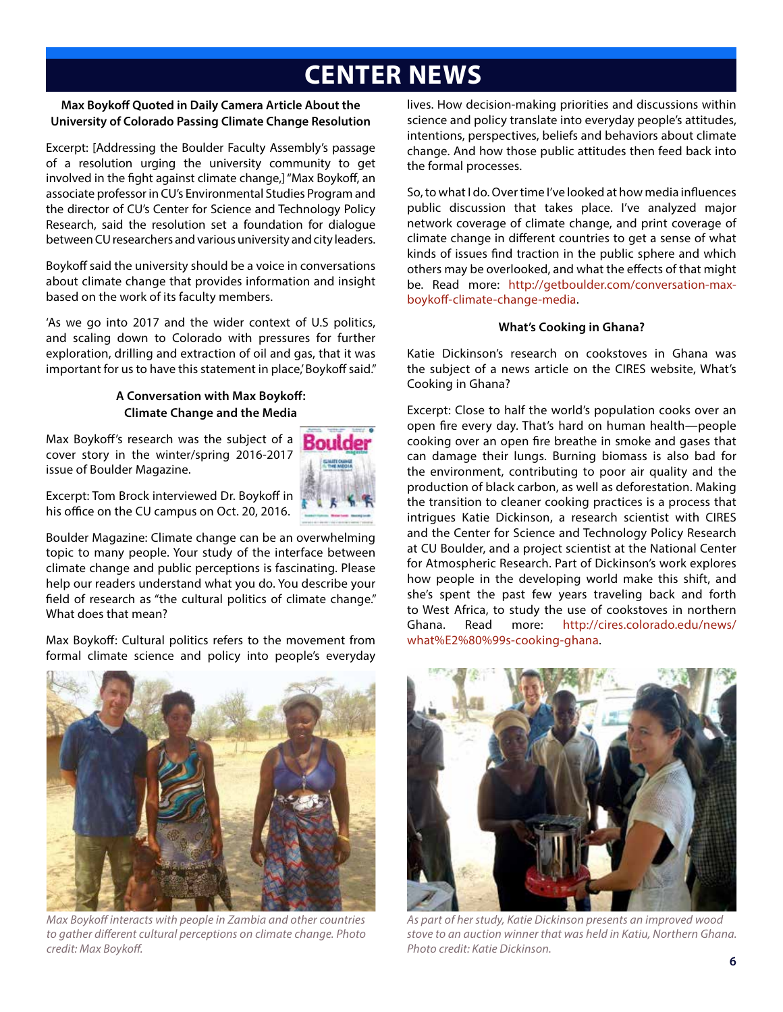# **CENTER NEWS**

#### **Max Boykoff Quoted in Daily Camera Article About the University of Colorado Passing Climate Change Resolution**

Excerpt: [Addressing the Boulder Faculty Assembly's passage of a resolution urging the university community to get involved in the fight against climate change,] "Max Boykoff, an associate professor in CU's Environmental Studies Program and the director of CU's Center for Science and Technology Policy Research, said the resolution set a foundation for dialogue between CU researchers and various university and city leaders.

Boykoff said the university should be a voice in conversations about climate change that provides information and insight based on the work of its faculty members.

'As we go into 2017 and the wider context of U.S politics, and scaling down to Colorado with pressures for further exploration, drilling and extraction of oil and gas, that it was important for us to have this statement in place,' Boykoff said."

#### **A Conversation with Max Boykoff: Climate Change and the Media**

Max Boykoff's research was the subject of a cover story in the winter/spring 2016-2017 issue of Boulder Magazine.



Excerpt: Tom Brock interviewed Dr. Boykoff in his office on the CU campus on Oct. 20, 2016.

Boulder Magazine: Climate change can be an overwhelming topic to many people. Your study of the interface between climate change and public perceptions is fascinating. Please help our readers understand what you do. You describe your field of research as "the cultural politics of climate change." What does that mean?

Max Boykoff: Cultural politics refers to the movement from formal climate science and policy into people's everyday



*Max Boykoff interacts with people in Zambia and other countries to gather different cultural perceptions on climate change. Photo credit: Max Boykoff.*

lives. How decision-making priorities and discussions within science and policy translate into everyday people's attitudes, intentions, perspectives, beliefs and behaviors about climate change. And how those public attitudes then feed back into the formal processes.

So, to what I do. Over time I've looked at how media influences public discussion that takes place. I've analyzed major network coverage of climate change, and print coverage of climate change in different countries to get a sense of what kinds of issues find traction in the public sphere and which others may be overlooked, and what the effects of that might be. Read more: http://getboulder.com/conversation-maxboykoff-climate-change-media.

#### **What's Cooking in Ghana?**

Katie Dickinson's research on cookstoves in Ghana was the subject of a news article on the CIRES website, What's Cooking in Ghana?

Excerpt: Close to half the world's population cooks over an open fire every day. That's hard on human health—people cooking over an open fire breathe in smoke and gases that can damage their lungs. Burning biomass is also bad for the environment, contributing to poor air quality and the production of black carbon, as well as deforestation. Making the transition to cleaner cooking practices is a process that intrigues Katie Dickinson, a research scientist with CIRES and the Center for Science and Technology Policy Research at CU Boulder, and a project scientist at the National Center for Atmospheric Research. Part of Dickinson's work explores how people in the developing world make this shift, and she's spent the past few years traveling back and forth to West Africa, to study the use of cookstoves in northern Ghana. Read more: http://cires.colorado.edu/news/ what%E2%80%99s-cooking-ghana.



*As part of her study, Katie Dickinson presents an improved wood stove to an auction winner that was held in Katiu, Northern Ghana. Photo credit: Katie Dickinson.*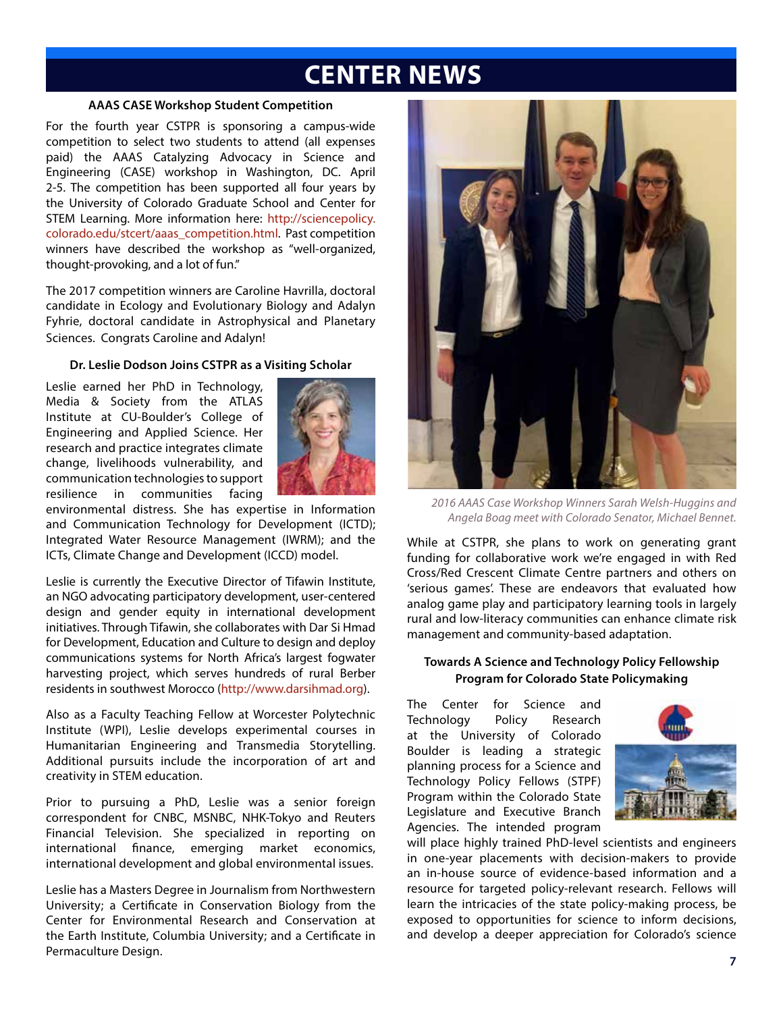## **CENTER NEWS**

#### **AAAS CASE Workshop Student Competition**

For the fourth year CSTPR is sponsoring a campus-wide competition to select two students to attend (all expenses paid) the AAAS Catalyzing Advocacy in Science and Engineering (CASE) workshop in Washington, DC. April 2-5. The competition has been supported all four years by the University of Colorado Graduate School and Center for STEM Learning. More information here: http://sciencepolicy. colorado.edu/stcert/aaas\_competition.html. Past competition winners have described the workshop as "well-organized, thought-provoking, and a lot of fun."

The 2017 competition winners are Caroline Havrilla, doctoral candidate in Ecology and Evolutionary Biology and Adalyn Fyhrie, doctoral candidate in Astrophysical and Planetary Sciences. Congrats Caroline and Adalyn!

#### **Dr. Leslie Dodson Joins CSTPR as a Visiting Scholar**

Leslie earned her PhD in Technology, Media & Society from the ATLAS Institute at CU-Boulder's College of Engineering and Applied Science. Her research and practice integrates climate change, livelihoods vulnerability, and communication technologies to support resilience in communities facing



environmental distress. She has expertise in Information and Communication Technology for Development (ICTD); Integrated Water Resource Management (IWRM); and the ICTs, Climate Change and Development (ICCD) model.

Leslie is currently the Executive Director of Tifawin Institute, an NGO advocating participatory development, user-centered design and gender equity in international development initiatives. Through Tifawin, she collaborates with Dar Si Hmad for Development, Education and Culture to design and deploy communications systems for North Africa's largest fogwater harvesting project, which serves hundreds of rural Berber residents in southwest Morocco (http://www.darsihmad.org).

Also as a Faculty Teaching Fellow at Worcester Polytechnic Institute (WPI), Leslie develops experimental courses in Humanitarian Engineering and Transmedia Storytelling. Additional pursuits include the incorporation of art and creativity in STEM education.

Prior to pursuing a PhD, Leslie was a senior foreign correspondent for CNBC, MSNBC, NHK-Tokyo and Reuters Financial Television. She specialized in reporting on international finance, emerging market economics, international development and global environmental issues.

Leslie has a Masters Degree in Journalism from Northwestern University; a Certificate in Conservation Biology from the Center for Environmental Research and Conservation at the Earth Institute, Columbia University; and a Certificate in Permaculture Design.



*2016 AAAS Case Workshop Winners Sarah Welsh-Huggins and Angela Boag meet with Colorado Senator, Michael Bennet.*

While at CSTPR, she plans to work on generating grant funding for collaborative work we're engaged in with Red Cross/Red Crescent Climate Centre partners and others on 'serious games'. These are endeavors that evaluated how analog game play and participatory learning tools in largely rural and low-literacy communities can enhance climate risk management and community-based adaptation.

#### **Towards A Science and Technology Policy Fellowship Program for Colorado State Policymaking**

The Center for Science and Technology Policy Research at the University of Colorado Boulder is leading a strategic planning process for a Science and Technology Policy Fellows (STPF) Program within the Colorado State Legislature and Executive Branch Agencies. The intended program



will place highly trained PhD-level scientists and engineers in one-year placements with decision-makers to provide an in-house source of evidence-based information and a resource for targeted policy-relevant research. Fellows will learn the intricacies of the state policy-making process, be exposed to opportunities for science to inform decisions, and develop a deeper appreciation for Colorado's science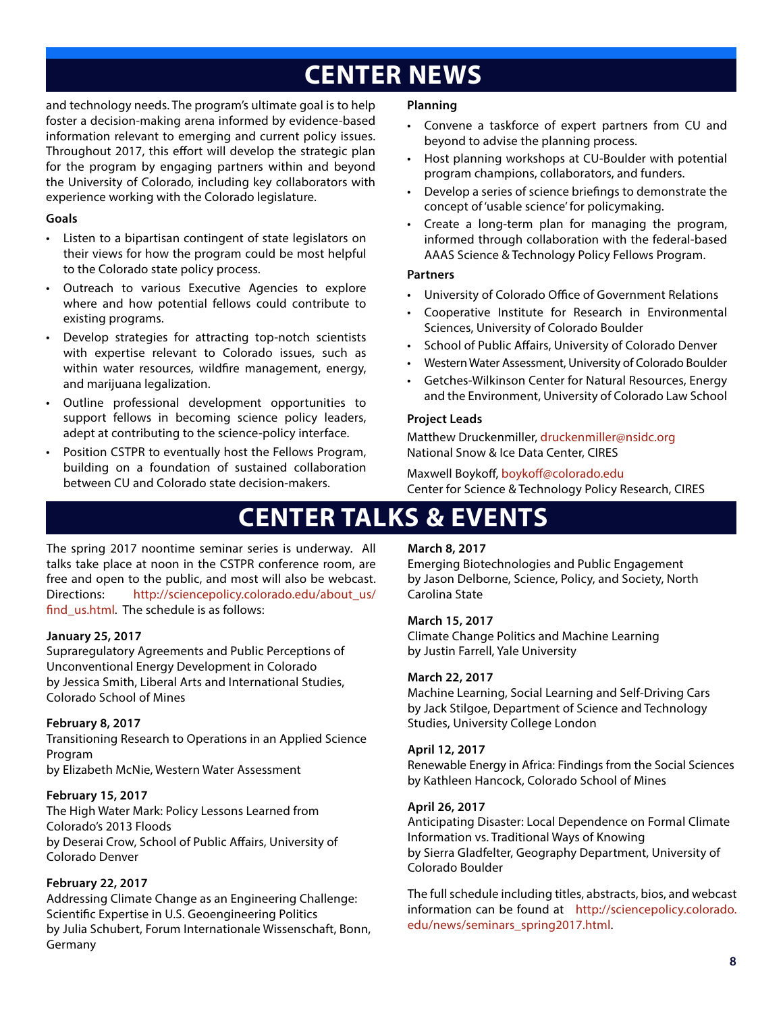# **CENTER NEWS**

and technology needs. The program's ultimate goal is to help foster a decision-making arena informed by evidence-based information relevant to emerging and current policy issues. Throughout 2017, this effort will develop the strategic plan for the program by engaging partners within and beyond the University of Colorado, including key collaborators with experience working with the Colorado legislature.

#### **Goals**

- Listen to a bipartisan contingent of state legislators on their views for how the program could be most helpful to the Colorado state policy process.
- Outreach to various Executive Agencies to explore where and how potential fellows could contribute to existing programs.
- Develop strategies for attracting top-notch scientists with expertise relevant to Colorado issues, such as within water resources, wildfire management, energy, and marijuana legalization.
- Outline professional development opportunities to support fellows in becoming science policy leaders, adept at contributing to the science-policy interface.
- Position CSTPR to eventually host the Fellows Program, building on a foundation of sustained collaboration between CU and Colorado state decision-makers.

#### **Planning**

- Convene a taskforce of expert partners from CU and beyond to advise the planning process.
- Host planning workshops at CU-Boulder with potential program champions, collaborators, and funders.
- Develop a series of science briefings to demonstrate the concept of 'usable science' for policymaking.
- Create a long-term plan for managing the program, informed through collaboration with the federal-based AAAS Science & Technology Policy Fellows Program.

#### **Partners**

- University of Colorado Office of Government Relations
- Cooperative Institute for Research in Environmental Sciences, University of Colorado Boulder
- School of Public Affairs, University of Colorado Denver
- Western Water Assessment, University of Colorado Boulder
- Getches-Wilkinson Center for Natural Resources, Energy and the Environment, University of Colorado Law School

#### **Project Leads**

Matthew Druckenmiller, druckenmiller@nsidc.org National Snow & Ice Data Center, CIRES

Maxwell Boykoff, boykoff@colorado.edu Center for Science & Technology Policy Research, CIRES

## **CENTER TALKS & EVENTS**

The spring 2017 noontime seminar series is underway. All talks take place at noon in the CSTPR conference room, are free and open to the public, and most will also be webcast. Directions: http://sciencepolicy.colorado.edu/about\_us/ find\_us.html. The schedule is as follows:

#### **January 25, 2017**

Supraregulatory Agreements and Public Perceptions of Unconventional Energy Development in Colorado by Jessica Smith, Liberal Arts and International Studies, Colorado School of Mines

#### **February 8, 2017**

Transitioning Research to Operations in an Applied Science Program by Elizabeth McNie, Western Water Assessment

#### **February 15, 2017**

The High Water Mark: Policy Lessons Learned from Colorado's 2013 Floods by Deserai Crow, School of Public Affairs, University of Colorado Denver

#### **February 22, 2017**

Addressing Climate Change as an Engineering Challenge: Scientific Expertise in U.S. Geoengineering Politics by Julia Schubert, Forum Internationale Wissenschaft, Bonn, Germany

#### **March 8, 2017**

Emerging Biotechnologies and Public Engagement by Jason Delborne, Science, Policy, and Society, North Carolina State

#### **March 15, 2017**

Climate Change Politics and Machine Learning by Justin Farrell, Yale University

#### **March 22, 2017**

Machine Learning, Social Learning and Self-Driving Cars by Jack Stilgoe, Department of Science and Technology Studies, University College London

#### **April 12, 2017**

Renewable Energy in Africa: Findings from the Social Sciences by Kathleen Hancock, Colorado School of Mines

#### **April 26, 2017**

Anticipating Disaster: Local Dependence on Formal Climate Information vs. Traditional Ways of Knowing by Sierra Gladfelter, Geography Department, University of Colorado Boulder

The full schedule including titles, abstracts, bios, and webcast information can be found at http://sciencepolicy.colorado. edu/news/seminars\_spring2017.html.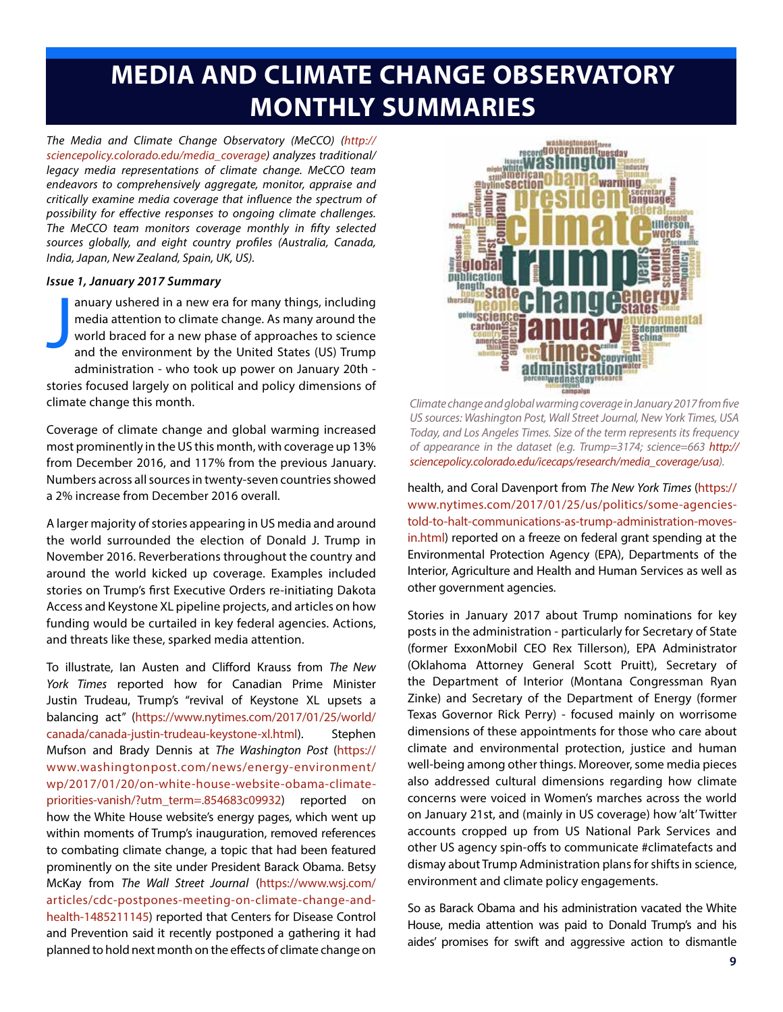# **MEDIA AND CLIMATE CHANGE OBSERVATORY MONTHLY SUMMARIES**

*The Media and Climate Change Observatory (MeCCO) (http:// sciencepolicy.colorado.edu/media\_coverage) analyzes traditional/ legacy media representations of climate change. MeCCO team endeavors to comprehensively aggregate, monitor, appraise and critically examine media coverage that influence the spectrum of possibility for effective responses to ongoing climate challenges. The MeCCO team monitors coverage monthly in fifty selected sources globally, and eight country profiles (Australia, Canada, India, Japan, New Zealand, Spain, UK, US).*

#### *Issue 1, January 2017 Summary*

J anuary ushered in a new era for many things, including media attention to climate change. As many around the world braced for a new phase of approaches to science and the environment by the United States (US) Trump administration - who took up power on January 20th stories focused largely on political and policy dimensions of climate change this month.

Coverage of climate change and global warming increased most prominently in the US this month, with coverage up 13% from December 2016, and 117% from the previous January. Numbers across all sources in twenty-seven countries showed a 2% increase from December 2016 overall.

A larger majority of stories appearing in US media and around the world surrounded the election of Donald J. Trump in November 2016. Reverberations throughout the country and around the world kicked up coverage. Examples included stories on Trump's first Executive Orders re-initiating Dakota Access and Keystone XL pipeline projects, and articles on how funding would be curtailed in key federal agencies. Actions, and threats like these, sparked media attention.

To illustrate, Ian Austen and Clifford Krauss from *The New York Times* reported how for Canadian Prime Minister Justin Trudeau, Trump's "revival of Keystone XL upsets a balancing act" (https://www.nytimes.com/2017/01/25/world/ canada/canada-justin-trudeau-keystone-xl.html). Stephen Mufson and Brady Dennis at *The Washington Post* (https:// www.washingtonpost.com/news/energy-environment/ wp/2017/01/20/on-white-house-website-obama-climatepriorities-vanish/?utm\_term=.854683c09932) reported on how the White House website's energy pages, which went up within moments of Trump's inauguration, removed references to combating climate change, a topic that had been featured prominently on the site under President Barack Obama. Betsy McKay from *The Wall Street Journal* (https://www.wsj.com/ articles/cdc-postpones-meeting-on-climate-change-andhealth-1485211145) reported that Centers for Disease Control and Prevention said it recently postponed a gathering it had planned to hold next month on the effects of climate change on



*Climate change and global warming coverage in January 2017 from five US sources: Washington Post, Wall Street Journal, New York Times, USA Today, and Los Angeles Times. Size of the term represents its frequency of appearance in the dataset (e.g. Trump=3174; science=663 http:// sciencepolicy.colorado.edu/icecaps/research/media\_coverage/usa).*

health, and Coral Davenport from *The New York Times* (https:// www.nytimes.com/2017/01/25/us/politics/some-agenciestold-to-halt-communications-as-trump-administration-movesin.html) reported on a freeze on federal grant spending at the Environmental Protection Agency (EPA), Departments of the Interior, Agriculture and Health and Human Services as well as other government agencies.

Stories in January 2017 about Trump nominations for key posts in the administration - particularly for Secretary of State (former ExxonMobil CEO Rex Tillerson), EPA Administrator (Oklahoma Attorney General Scott Pruitt), Secretary of the Department of Interior (Montana Congressman Ryan Zinke) and Secretary of the Department of Energy (former Texas Governor Rick Perry) - focused mainly on worrisome dimensions of these appointments for those who care about climate and environmental protection, justice and human well-being among other things. Moreover, some media pieces also addressed cultural dimensions regarding how climate concerns were voiced in Women's marches across the world on January 21st, and (mainly in US coverage) how 'alt' Twitter accounts cropped up from US National Park Services and other US agency spin-offs to communicate #climatefacts and dismay about Trump Administration plans for shifts in science, environment and climate policy engagements.

So as Barack Obama and his administration vacated the White House, media attention was paid to Donald Trump's and his aides' promises for swift and aggressive action to dismantle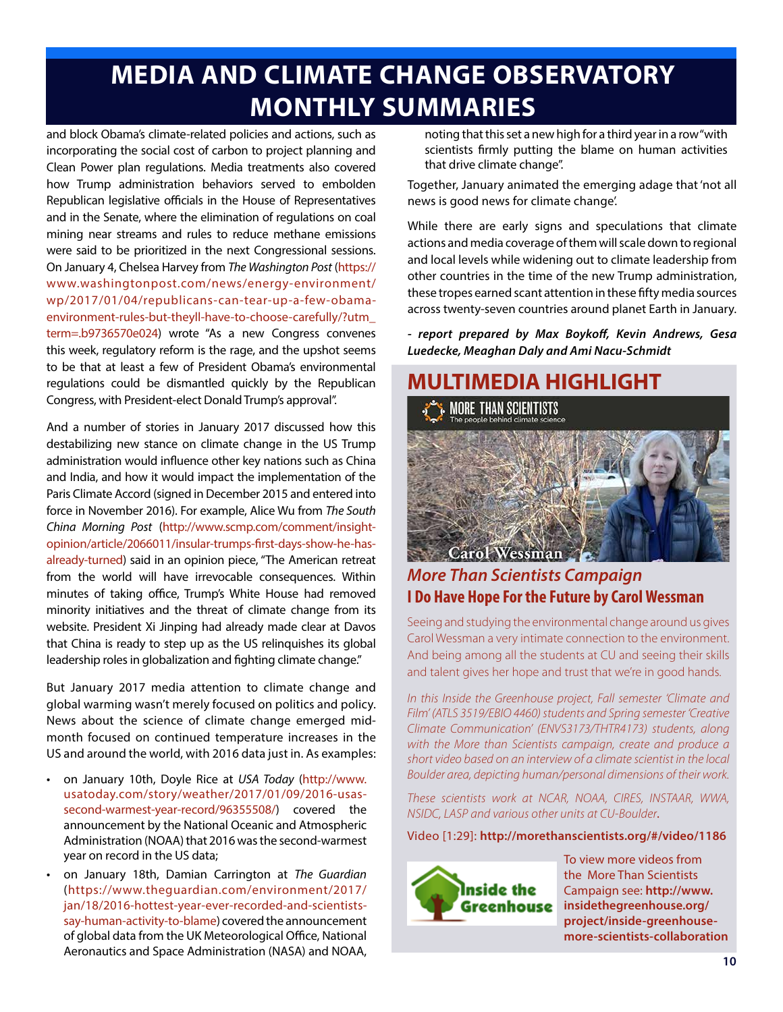# **MEDIA AND CLIMATE CHANGE OBSERVATORY MONTHLY SUMMARIES**

and block Obama's climate-related policies and actions, such as incorporating the social cost of carbon to project planning and Clean Power plan regulations. Media treatments also covered how Trump administration behaviors served to embolden Republican legislative officials in the House of Representatives and in the Senate, where the elimination of regulations on coal mining near streams and rules to reduce methane emissions were said to be prioritized in the next Congressional sessions. On January 4, Chelsea Harvey from *The Washington Post* (https:// www.washingtonpost.com/news/energy-environment/ wp/2017/01/04/republicans-can-tear-up-a-few-obamaenvironment-rules-but-theyll-have-to-choose-carefully/?utm\_ term=.b9736570e024) wrote "As a new Congress convenes this week, regulatory reform is the rage, and the upshot seems to be that at least a few of President Obama's environmental regulations could be dismantled quickly by the Republican Congress, with President-elect Donald Trump's approval".

And a number of stories in January 2017 discussed how this destabilizing new stance on climate change in the US Trump administration would influence other key nations such as China and India, and how it would impact the implementation of the Paris Climate Accord (signed in December 2015 and entered into force in November 2016). For example, Alice Wu from *The South China Morning Post* (http://www.scmp.com/comment/insightopinion/article/2066011/insular-trumps-first-days-show-he-hasalready-turned) said in an opinion piece, "The American retreat from the world will have irrevocable consequences. Within minutes of taking office, Trump's White House had removed minority initiatives and the threat of climate change from its website. President Xi Jinping had already made clear at Davos that China is ready to step up as the US relinquishes its global leadership roles in globalization and fighting climate change."

But January 2017 media attention to climate change and global warming wasn't merely focused on politics and policy. News about the science of climate change emerged midmonth focused on continued temperature increases in the US and around the world, with 2016 data just in. As examples:

- on January 10th, Doyle Rice at *USA Today* (http://www. usatoday.com/story/weather/2017/01/09/2016-usassecond-warmest-year-record/96355508/) covered the announcement by the National Oceanic and Atmospheric Administration (NOAA) that 2016 was the second-warmest year on record in the US data;
- on January 18th, Damian Carrington at *The Guardian* (https://www.theguardian.com/environment/2017/ jan/18/2016-hottest-year-ever-recorded-and-scientistssay-human-activity-to-blame) covered the announcement of global data from the UK Meteorological Office, National Aeronautics and Space Administration (NASA) and NOAA,

noting that this set a new high for a third year in a row "with scientists firmly putting the blame on human activities that drive climate change".

Together, January animated the emerging adage that 'not all news is good news for climate change'.

While there are early signs and speculations that climate actions and media coverage of them will scale down to regional and local levels while widening out to climate leadership from other countries in the time of the new Trump administration, these tropes earned scant attention in these fifty media sources across twenty-seven countries around planet Earth in January.

*- report prepared by Max Boykoff, Kevin Andrews, Gesa Luedecke, Meaghan Daly and Ami Nacu-Schmidt*



### *More Than Scientists Campaign* **I Do Have Hope For the Future by Carol Wessman**

Seeing and studying the environmental change around us gives Carol Wessman a very intimate connection to the environment. And being among all the students at CU and seeing their skills and talent gives her hope and trust that we're in good hands.

*In this Inside the Greenhouse project, Fall semester 'Climate and Film' (ATLS 3519/EBIO 4460) students and Spring semester 'Creative Climate Communication' (ENVS3173/THTR4173) students, along with the More than Scientists campaign, create and produce a short video based on an interview of a climate scientist in the local Boulder area, depicting human/personal dimensions of their work.*

*These scientists work at NCAR, NOAA, CIRES, INSTAAR, WWA, NSIDC, LASP and various other units at CU-Boulder*.

Video [1:29]: **http://morethanscientists.org/#/video/1186**



To view more videos from the More Than Scientists Campaign see: **http://www. insidethegreenhouse.org/ project/inside-greenhousemore-scientists-collaboration**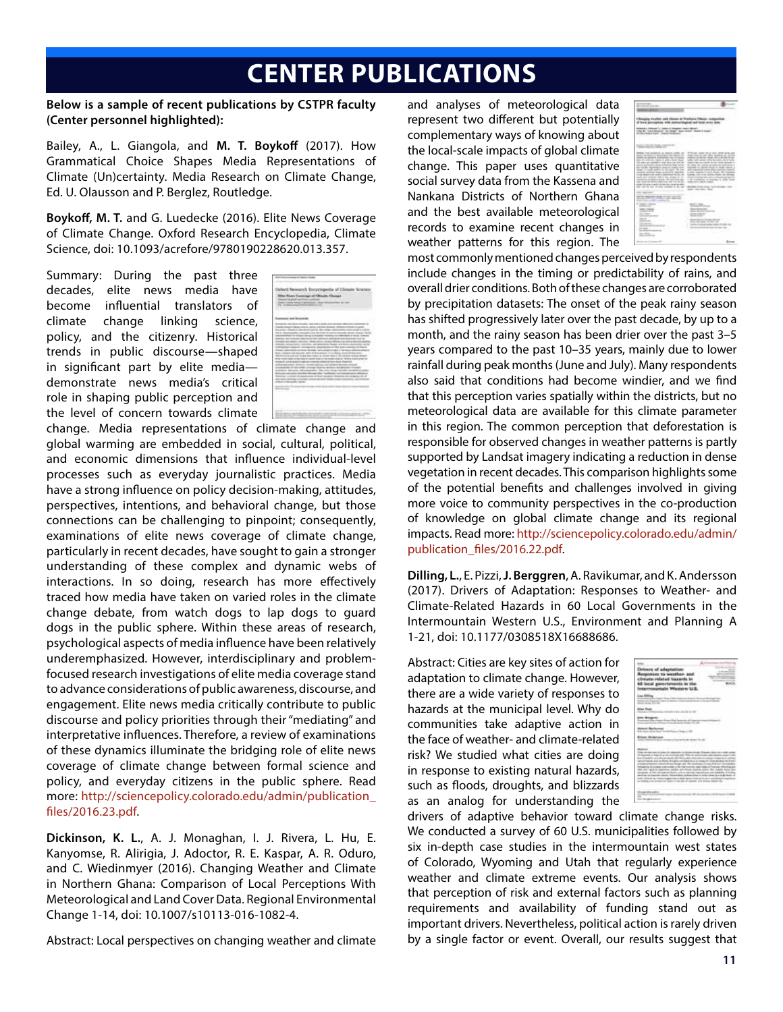## **CENTER PUBLICATIONS**

**Below is a sample of recent publications by CSTPR faculty (Center personnel highlighted):**

Bailey, A., L. Giangola, and **M. T. Boykoff** (2017). How Grammatical Choice Shapes Media Representations of Climate (Un)certainty. Media Research on Climate Change, Ed. U. Olausson and P. Berglez, Routledge.

**Boykoff, M. T.** and G. Luedecke (2016). Elite News Coverage of Climate Change. Oxford Research Encyclopedia, Climate Science, doi: 10.1093/acrefore/9780190228620.013.357.

Summary: During the past three decades, elite news media have become influential translators of climate change linking science, policy, and the citizenry. Historical trends in public discourse—shaped in significant part by elite media demonstrate news media's critical role in shaping public perception and the level of concern towards climate



change. Media representations of climate change and global warming are embedded in social, cultural, political, and economic dimensions that influence individual-level processes such as everyday journalistic practices. Media have a strong influence on policy decision-making, attitudes, perspectives, intentions, and behavioral change, but those connections can be challenging to pinpoint; consequently, examinations of elite news coverage of climate change, particularly in recent decades, have sought to gain a stronger understanding of these complex and dynamic webs of interactions. In so doing, research has more effectively traced how media have taken on varied roles in the climate change debate, from watch dogs to lap dogs to guard dogs in the public sphere. Within these areas of research, psychological aspects of media influence have been relatively underemphasized. However, interdisciplinary and problemfocused research investigations of elite media coverage stand to advance considerations of public awareness, discourse, and engagement. Elite news media critically contribute to public discourse and policy priorities through their "mediating" and interpretative influences. Therefore, a review of examinations of these dynamics illuminate the bridging role of elite news coverage of climate change between formal science and policy, and everyday citizens in the public sphere. Read more: http://sciencepolicy.colorado.edu/admin/publication\_ files/2016.23.pdf.

**Dickinson, K. L.**, A. J. Monaghan, I. J. Rivera, L. Hu, E. Kanyomse, R. Alirigia, J. Adoctor, R. E. Kaspar, A. R. Oduro, and C. Wiedinmyer (2016). Changing Weather and Climate in Northern Ghana: Comparison of Local Perceptions With Meteorological and Land Cover Data. Regional Environmental Change 1-14, doi: 10.1007/s10113-016-1082-4.

Abstract: Local perspectives on changing weather and climate

and analyses of meteorological data represent two different but potentially complementary ways of knowing about the local-scale impacts of global climate change. This paper uses quantitative social survey data from the Kassena and Nankana Districts of Northern Ghana and the best available meteorological records to examine recent changes in weather patterns for this region. The

| ------<br>$\sim$<br>. .<br>- 7<br>74                                                                                                                                                                                                                                                                                                                                                                                                                                                                                                                                                                                                                                                                                                                 |                                                                                                                                                                                                                                                                                                                                                                                                                                                                                                                                                                                                                                                                                                                          |
|------------------------------------------------------------------------------------------------------------------------------------------------------------------------------------------------------------------------------------------------------------------------------------------------------------------------------------------------------------------------------------------------------------------------------------------------------------------------------------------------------------------------------------------------------------------------------------------------------------------------------------------------------------------------------------------------------------------------------------------------------|--------------------------------------------------------------------------------------------------------------------------------------------------------------------------------------------------------------------------------------------------------------------------------------------------------------------------------------------------------------------------------------------------------------------------------------------------------------------------------------------------------------------------------------------------------------------------------------------------------------------------------------------------------------------------------------------------------------------------|
| cars or any appropriate, in approval val-<br><b>Call Art Art Art Art Art Art Art Art</b>                                                                                                                                                                                                                                                                                                                                                                                                                                                                                                                                                                                                                                                             |                                                                                                                                                                                                                                                                                                                                                                                                                                                                                                                                                                                                                                                                                                                          |
| sing at provide committee on a compa-<br>the angle and constraints would meet they followed<br>the rights recording at shear to minds racise. In approach for above the<br>that it will reflect to three to the con-<br>counts service hour Asirol & Milled<br>limited relations to report a post-server of the call<br>limate since contained with all their chronic call of<br>concerns an and in account the particular and<br>take must be kind contenued can you to you.<br>looks to drive your three companies about the state.<br>the part in an involve contact in the late<br><b>STATE CONTRACTOR</b><br><b><i><u>STORY SERVICE</u></i></b><br>were recovered to<br>______<br>---<br>three communications considerable<br><b>STATISTICS</b> | These trust expects is depth onder on . With an appendix on once may see an<br>the product of the form of the control of the control of the control of the control of the control of the control of<br>control in more more detailed for the<br>this to Julesse legal at 2000 Polar Haw  talking to apply a fly to be to help that<br>chance for the children by the child children's to<br>the contract of the control of the control of the control of the control of the control of<br>site for state calcula<br>to drive capitalistic in Arank<br>strate your array send<br>which is quiting relate that<br>a the condition of Guardian at 1984.<br>shows and a publish family in<br>and taking the state<br>77<br>. |
| a concern in<br><b><i>CARD TRANSFERE</i></b><br><b>STATISTICS</b><br>and the con-                                                                                                                                                                                                                                                                                                                                                                                                                                                                                                                                                                                                                                                                    | and and<br><b>MOVE &amp; START</b>                                                                                                                                                                                                                                                                                                                                                                                                                                                                                                                                                                                                                                                                                       |
| <b>CARLO FOR THE</b><br><b>CONTRACTOR</b><br>and the party<br><b>STATISTICS</b><br>---<br><b>SAMA COLLECTION</b><br>v                                                                                                                                                                                                                                                                                                                                                                                                                                                                                                                                                                                                                                | ٠<br>$-20000$<br>- 2                                                                                                                                                                                                                                                                                                                                                                                                                                                                                                                                                                                                                                                                                                     |

most commonly mentioned changes perceived by respondents include changes in the timing or predictability of rains, and overall drier conditions. Both of these changes are corroborated by precipitation datasets: The onset of the peak rainy season has shifted progressively later over the past decade, by up to a month, and the rainy season has been drier over the past 3–5 years compared to the past 10–35 years, mainly due to lower rainfall during peak months (June and July). Many respondents also said that conditions had become windier, and we find that this perception varies spatially within the districts, but no meteorological data are available for this climate parameter in this region. The common perception that deforestation is responsible for observed changes in weather patterns is partly supported by Landsat imagery indicating a reduction in dense vegetation in recent decades. This comparison highlights some of the potential benefits and challenges involved in giving more voice to community perspectives in the co-production of knowledge on global climate change and its regional impacts. Read more: http://sciencepolicy.colorado.edu/admin/ publication\_files/2016.22.pdf.

**Dilling, L.**, E. Pizzi, **J. Berggren**, A. Ravikumar, and K. Andersson (2017). Drivers of Adaptation: Responses to Weather- and Climate-Related Hazards in 60 Local Governments in the Intermountain Western U.S., Environment and Planning A 1-21, doi: 10.1177/0308518X16688686.

Abstract: Cities are key sites of action for adaptation to climate change. However, there are a wide variety of responses to hazards at the municipal level. Why do communities take adaptive action in the face of weather- and climate-related risk? We studied what cities are doing in response to existing natural hazards, such as floods, droughts, and blizzards as an analog for understanding the

| luxry of adaptatic<br>ruste related hasard<br>Wilsiamsres                                                                                                                                                                                                                              |                                                                    |             |
|----------------------------------------------------------------------------------------------------------------------------------------------------------------------------------------------------------------------------------------------------------------------------------------|--------------------------------------------------------------------|-------------|
| ing Soliday                                                                                                                                                                                                                                                                            |                                                                    |             |
| <b>Controller (Street)</b>                                                                                                                                                                                                                                                             |                                                                    |             |
| <b>Post</b>                                                                                                                                                                                                                                                                            | $-0.4 - 0.00$                                                      |             |
|                                                                                                                                                                                                                                                                                        | <b>Change of the American Contract</b>                             |             |
|                                                                                                                                                                                                                                                                                        | ÷                                                                  |             |
| --                                                                                                                                                                                                                                                                                     |                                                                    |             |
| <b>County Street</b><br>tion was report makering states are much around adopt the maker into<br>property of hid and entertainment cust to detected fractionization and established in<br>with an in-Factor Street, Security<br>test that a construction of the first state of the con- | at taly the p<br>back without which is looks that the a single bat | and the co- |
| -                                                                                                                                                                                                                                                                                      |                                                                    |             |

drivers of adaptive behavior toward climate change risks. We conducted a survey of 60 U.S. municipalities followed by six in-depth case studies in the intermountain west states of Colorado, Wyoming and Utah that regularly experience weather and climate extreme events. Our analysis shows that perception of risk and external factors such as planning requirements and availability of funding stand out as important drivers. Nevertheless, political action is rarely driven by a single factor or event. Overall, our results suggest that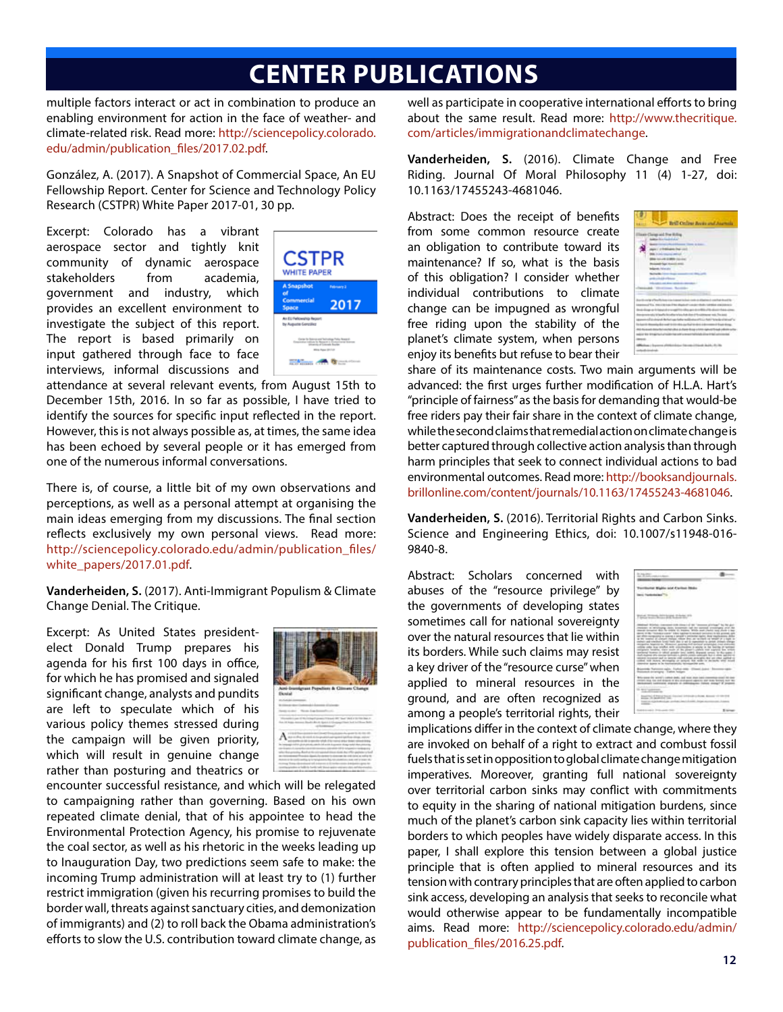## **CENTER PUBLICATIONS**

multiple factors interact or act in combination to produce an enabling environment for action in the face of weather- and climate-related risk. Read more: http://sciencepolicy.colorado. edu/admin/publication\_files/2017.02.pdf.

González, A. (2017). A Snapshot of Commercial Space, An EU Fellowship Report. Center for Science and Technology Policy Research (CSTPR) White Paper 2017-01, 30 pp.

Excerpt: Colorado has a vibrant aerospace sector and tightly knit community of dynamic aerospace stakeholders from academia, government and industry, which provides an excellent environment to investigate the subject of this report. The report is based primarily on input gathered through face to face interviews, informal discussions and



attendance at several relevant events, from August 15th to December 15th, 2016. In so far as possible, I have tried to identify the sources for specific input reflected in the report. However, this is not always possible as, at times, the same idea has been echoed by several people or it has emerged from one of the numerous informal conversations.

There is, of course, a little bit of my own observations and perceptions, as well as a personal attempt at organising the main ideas emerging from my discussions. The final section reflects exclusively my own personal views. Read more: http://sciencepolicy.colorado.edu/admin/publication\_files/ white\_papers/2017.01.pdf.

**Vanderheiden, S.** (2017). Anti-Immigrant Populism & Climate Change Denial. The Critique.

Excerpt: As United States presidentelect Donald Trump prepares his agenda for his first 100 days in office, for which he has promised and signaled significant change, analysts and pundits are left to speculate which of his various policy themes stressed during the campaign will be given priority, which will result in genuine change rather than posturing and theatrics or



encounter successful resistance, and which will be relegated to campaigning rather than governing. Based on his own repeated climate denial, that of his appointee to head the Environmental Protection Agency, his promise to rejuvenate the coal sector, as well as his rhetoric in the weeks leading up to Inauguration Day, two predictions seem safe to make: the incoming Trump administration will at least try to (1) further restrict immigration (given his recurring promises to build the border wall, threats against sanctuary cities, and demonization of immigrants) and (2) to roll back the Obama administration's efforts to slow the U.S. contribution toward climate change, as well as participate in cooperative international efforts to bring about the same result. Read more: http://www.thecritique. com/articles/immigrationandclimatechange.

**Vanderheiden, S.** (2016). Climate Change and Free Riding. Journal Of Moral Philosophy 11 (4) 1-27, doi: 10.1163/17455243-4681046.

Abstract: Does the receipt of benefits from some common resource create an obligation to contribute toward its maintenance? If so, what is the basis of this obligation? I consider whether individual contributions to climate change can be impugned as wrongful free riding upon the stability of the planet's climate system, when persons enjoy its benefits but refuse to bear their



share of its maintenance costs. Two main arguments will be advanced: the first urges further modification of H.L.A. Hart's "principle of fairness" as the basis for demanding that would-be free riders pay their fair share in the context of climate change, while the second claims that remedial action on climate change is better captured through collective action analysis than through harm principles that seek to connect individual actions to bad environmental outcomes. Read more: http://booksandjournals. brillonline.com/content/journals/10.1163/17455243-4681046.

**Vanderheiden, S.** (2016). Territorial Rights and Carbon Sinks. Science and Engineering Ethics, doi: 10.1007/s11948-016- 9840-8.

Abstract: Scholars concerned with abuses of the "resource privilege" by the governments of developing states sometimes call for national sovereignty over the natural resources that lie within its borders. While such claims may resist a key driver of the "resource curse" when applied to mineral resources in the ground, and are often recognized as among a people's territorial rights, their



implications differ in the context of climate change, where they are invoked on behalf of a right to extract and combust fossil fuels that is set in opposition to global climate change mitigation imperatives. Moreover, granting full national sovereignty over territorial carbon sinks may conflict with commitments to equity in the sharing of national mitigation burdens, since much of the planet's carbon sink capacity lies within territorial borders to which peoples have widely disparate access. In this paper, I shall explore this tension between a global justice principle that is often applied to mineral resources and its tension with contrary principles that are often applied to carbon sink access, developing an analysis that seeks to reconcile what would otherwise appear to be fundamentally incompatible aims. Read more: http://sciencepolicy.colorado.edu/admin/ publication\_files/2016.25.pdf.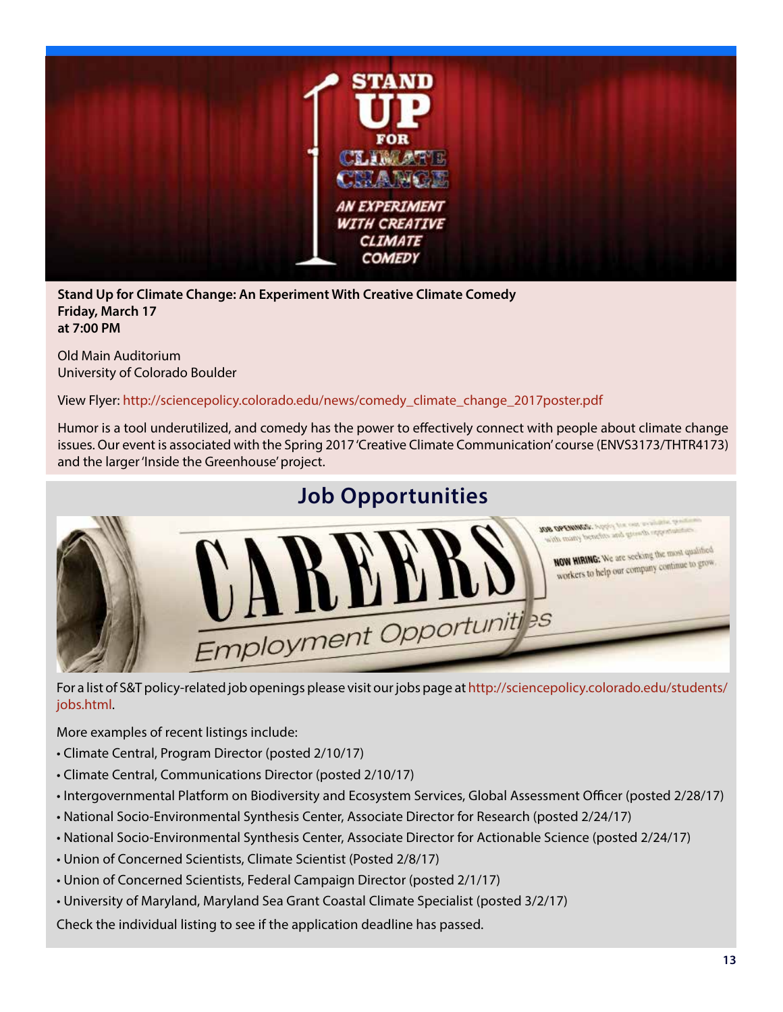

**Stand Up for Climate Change: An Experiment With Creative Climate Comedy Friday, March 17 at 7:00 PM**

Old Main Auditorium University of Colorado Boulder

View Flyer: http://sciencepolicy.colorado.edu/news/comedy\_climate\_change\_2017poster.pdf

Humor is a tool underutilized, and comedy has the power to effectively connect with people about climate change issues. Our event is associated with the Spring 2017 'Creative Climate Communication' course (ENVS3173/THTR4173) and the larger 'Inside the Greenhouse' project.



For a list of S&T policy-related job openings please visit our jobs page at http://sciencepolicy.colorado.edu/students/ jobs.html.

More examples of recent listings include:

- Climate Central, Program Director (posted 2/10/17)
- Climate Central, Communications Director (posted 2/10/17)
- Intergovernmental Platform on Biodiversity and Ecosystem Services, Global Assessment Officer (posted 2/28/17)
- National Socio-Environmental Synthesis Center, Associate Director for Research (posted 2/24/17)
- National Socio-Environmental Synthesis Center, Associate Director for Actionable Science (posted 2/24/17)
- Union of Concerned Scientists, Climate Scientist (Posted 2/8/17)
- Union of Concerned Scientists, Federal Campaign Director (posted 2/1/17)
- University of Maryland, Maryland Sea Grant Coastal Climate Specialist (posted 3/2/17)

Check the individual listing to see if the application deadline has passed.